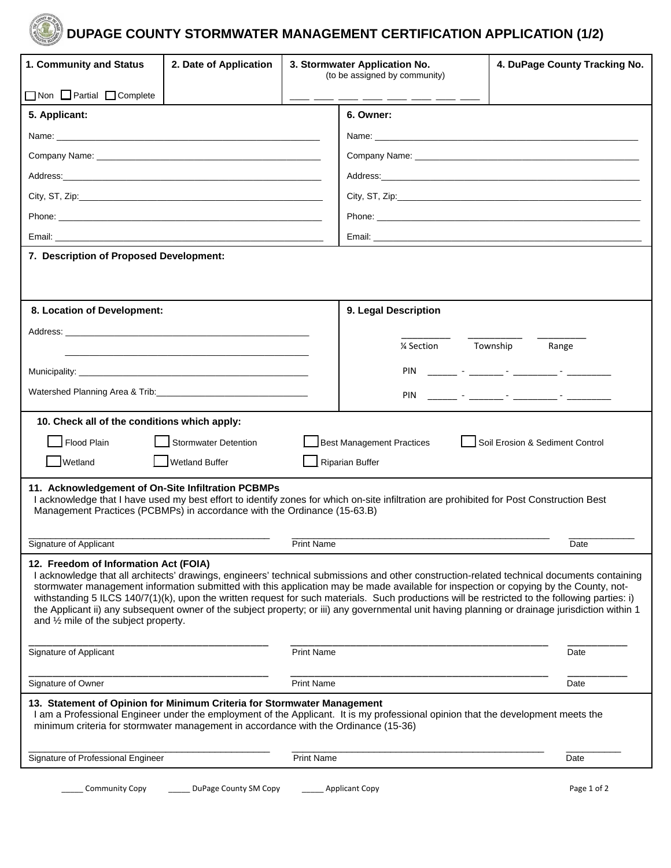

## **DUPAGE COUNTY STORMWATER MANAGEMENT CERTIFICATION APPLICATION (1/2)**

| 1. Community and Status                                                                                                                                                                                                                                                                                                                                                                                                                                                                                                                                                                                                                                                               | 2. Date of Application      | 3. Stormwater Application No.<br>(to be assigned by community) |                                  | 4. DuPage County Tracking No.                       |  |  |
|---------------------------------------------------------------------------------------------------------------------------------------------------------------------------------------------------------------------------------------------------------------------------------------------------------------------------------------------------------------------------------------------------------------------------------------------------------------------------------------------------------------------------------------------------------------------------------------------------------------------------------------------------------------------------------------|-----------------------------|----------------------------------------------------------------|----------------------------------|-----------------------------------------------------|--|--|
| □ Non □ Partial □ Complete                                                                                                                                                                                                                                                                                                                                                                                                                                                                                                                                                                                                                                                            |                             |                                                                |                                  |                                                     |  |  |
| 5. Applicant:                                                                                                                                                                                                                                                                                                                                                                                                                                                                                                                                                                                                                                                                         |                             |                                                                | 6. Owner:                        |                                                     |  |  |
|                                                                                                                                                                                                                                                                                                                                                                                                                                                                                                                                                                                                                                                                                       |                             |                                                                |                                  |                                                     |  |  |
|                                                                                                                                                                                                                                                                                                                                                                                                                                                                                                                                                                                                                                                                                       |                             |                                                                |                                  |                                                     |  |  |
|                                                                                                                                                                                                                                                                                                                                                                                                                                                                                                                                                                                                                                                                                       |                             |                                                                |                                  |                                                     |  |  |
|                                                                                                                                                                                                                                                                                                                                                                                                                                                                                                                                                                                                                                                                                       |                             |                                                                |                                  |                                                     |  |  |
| Phone: Note: Note: Note: Note: Note: Note: Note: Note: Note: Note: Note: Note: Note: Note: Note: Note: Note: No                                                                                                                                                                                                                                                                                                                                                                                                                                                                                                                                                                       |                             |                                                                |                                  |                                                     |  |  |
|                                                                                                                                                                                                                                                                                                                                                                                                                                                                                                                                                                                                                                                                                       |                             |                                                                |                                  |                                                     |  |  |
| 7. Description of Proposed Development:                                                                                                                                                                                                                                                                                                                                                                                                                                                                                                                                                                                                                                               |                             |                                                                |                                  |                                                     |  |  |
|                                                                                                                                                                                                                                                                                                                                                                                                                                                                                                                                                                                                                                                                                       |                             |                                                                |                                  |                                                     |  |  |
|                                                                                                                                                                                                                                                                                                                                                                                                                                                                                                                                                                                                                                                                                       |                             |                                                                |                                  |                                                     |  |  |
| 8. Location of Development:                                                                                                                                                                                                                                                                                                                                                                                                                                                                                                                                                                                                                                                           |                             |                                                                | 9. Legal Description             |                                                     |  |  |
|                                                                                                                                                                                                                                                                                                                                                                                                                                                                                                                                                                                                                                                                                       |                             |                                                                | 1⁄4 Section                      | Township<br>Range                                   |  |  |
|                                                                                                                                                                                                                                                                                                                                                                                                                                                                                                                                                                                                                                                                                       |                             |                                                                |                                  |                                                     |  |  |
|                                                                                                                                                                                                                                                                                                                                                                                                                                                                                                                                                                                                                                                                                       |                             |                                                                | PIN                              | <u> 1999 - John Harrison, mars et al. (</u> † 1920) |  |  |
|                                                                                                                                                                                                                                                                                                                                                                                                                                                                                                                                                                                                                                                                                       |                             |                                                                | PIN                              |                                                     |  |  |
| 10. Check all of the conditions which apply:                                                                                                                                                                                                                                                                                                                                                                                                                                                                                                                                                                                                                                          |                             |                                                                |                                  |                                                     |  |  |
| Flood Plain                                                                                                                                                                                                                                                                                                                                                                                                                                                                                                                                                                                                                                                                           | <b>Stormwater Detention</b> |                                                                | <b>Best Management Practices</b> | Soil Erosion & Sediment Control                     |  |  |
| Wetland                                                                                                                                                                                                                                                                                                                                                                                                                                                                                                                                                                                                                                                                               | <b>Wetland Buffer</b>       |                                                                | <b>Riparian Buffer</b>           |                                                     |  |  |
| 11. Acknowledgement of On-Site Infiltration PCBMPs<br>I acknowledge that I have used my best effort to identify zones for which on-site infiltration are prohibited for Post Construction Best<br>Management Practices (PCBMPs) in accordance with the Ordinance (15-63.B)                                                                                                                                                                                                                                                                                                                                                                                                            |                             |                                                                |                                  |                                                     |  |  |
| Signature of Applicant                                                                                                                                                                                                                                                                                                                                                                                                                                                                                                                                                                                                                                                                |                             | <b>Print Name</b>                                              |                                  | Date                                                |  |  |
| 12. Freedom of Information Act (FOIA)<br>I acknowledge that all architects' drawings, engineers' technical submissions and other construction-related technical documents containing<br>stormwater management information submitted with this application may be made available for inspection or copying by the County, not-<br>withstanding 5 ILCS 140/7(1)(k), upon the written request for such materials. Such productions will be restricted to the following parties: i)<br>the Applicant ii) any subsequent owner of the subject property; or iii) any governmental unit having planning or drainage jurisdiction within 1<br>and $\frac{1}{2}$ mile of the subject property. |                             |                                                                |                                  |                                                     |  |  |
| <b>Print Name</b><br>Signature of Applicant                                                                                                                                                                                                                                                                                                                                                                                                                                                                                                                                                                                                                                           |                             |                                                                |                                  | Date                                                |  |  |
| Signature of Owner                                                                                                                                                                                                                                                                                                                                                                                                                                                                                                                                                                                                                                                                    |                             | <b>Print Name</b>                                              |                                  | Date                                                |  |  |
| 13. Statement of Opinion for Minimum Criteria for Stormwater Management<br>I am a Professional Engineer under the employment of the Applicant. It is my professional opinion that the development meets the<br>minimum criteria for stormwater management in accordance with the Ordinance (15-36)                                                                                                                                                                                                                                                                                                                                                                                    |                             |                                                                |                                  |                                                     |  |  |
| Signature of Professional Engineer                                                                                                                                                                                                                                                                                                                                                                                                                                                                                                                                                                                                                                                    |                             | <b>Print Name</b>                                              |                                  | Date                                                |  |  |
| <b>Community Copy</b>                                                                                                                                                                                                                                                                                                                                                                                                                                                                                                                                                                                                                                                                 | DuPage County SM Copy       |                                                                | <b>Applicant Copy</b>            | Page 1 of 2                                         |  |  |